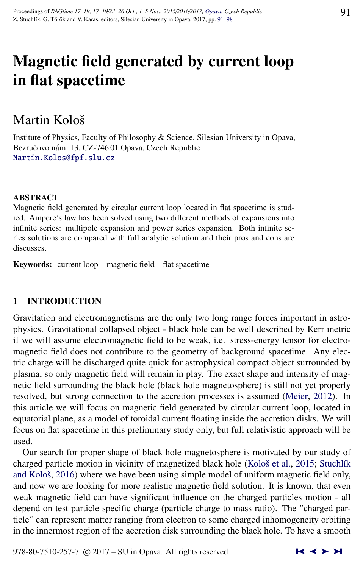# Magnetic field generated by current loop in flat spacetime

# Martin Kološ

Institute of Physics, Faculty of Philosophy & Science, Silesian University in Opava, Bezručovo nám. 13, CZ-74601 Opava, Czech Republic [Martin.Kolos@fpf.slu.cz](http://www.physics.cz/ Martin.Kolos@fpf.slu.cz)

### ABSTRACT

Magnetic field generated by circular current loop located in flat spacetime is studied. Ampere's law has been solved using two different methods of expansions into infinite series: multipole expansion and power series expansion. Both infinite series solutions are compared with full analytic solution and their pros and cons are discusses.

Keywords: current loop – magnetic field – flat spacetime

## 1 INTRODUCTION

Gravitation and electromagnetisms are the only two long range forces important in astrophysics. Gravitational collapsed object - black hole can be well described by Kerr metric if we will assume electromagnetic field to be weak, i.e. stress-energy tensor for electromagnetic field does not contribute to the geometry of background spacetime. Any electric charge will be discharged quite quick for astrophysical compact object surrounded by plasma, so only magnetic field will remain in play. The exact shape and intensity of magnetic field surrounding the black hole (black hole magnetosphere) is still not yet properly resolved, but strong connection to the accretion processes is assumed [\(Meier,](#page-7-0) [2012\)](#page-7-0). In this article we will focus on magnetic field generated by circular current loop, located in equatorial plane, as a model of toroidal current floating inside the accretion disks. We will focus on flat spacetime in this preliminary study only, but full relativistic approach will be used.

Our search for proper shape of black hole magnetosphere is motivated by our study of charged particle motion in vicinity of magnetized black hole (Kološ et al., [2015;](#page-7-0) Stuchlík and Kološ, [2016\)](#page-7-0) where we have been using simple model of uniform magnetic field only, and now we are looking for more realistic magnetic field solution. It is known, that even weak magnetic field can have significant influence on the charged particles motion - all depend on test particle specific charge (particle charge to mass ratio). The "charged particle" can represent matter ranging from electron to some charged inhomogeneity orbiting in the innermost region of the accretion disk surrounding the black hole. To have a smooth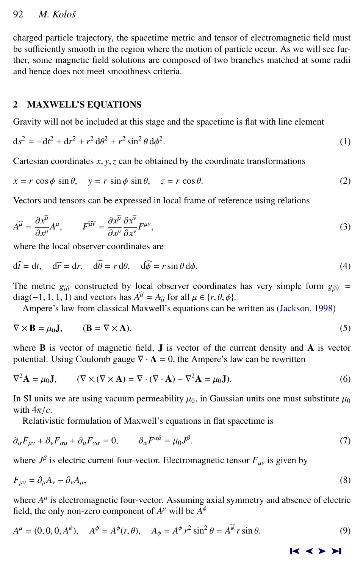# <span id="page-1-0"></span>92 *M. Koloˇs*

charged particle trajectory, the spacetime metric and tensor of electromagnetic field must be sufficiently smooth in the region where the motion of particle occur. As we will see further, some magnetic field solutions are composed of two branches matched at some radii and hence does not meet smoothness criteria.

# 2 MAXWELL'S EQUATIONS

Gravity will not be included at this stage and the spacetime is flat with line element

$$
ds^{2} = -dt^{2} + dr^{2} + r^{2} d\theta^{2} + r^{2} \sin^{2} \theta d\phi^{2}.
$$
 (1)

Cartesian coordinates  $x, y, z$  can be obtained by the coordinate transformations

$$
x = r \cos \phi \sin \theta, \quad y = r \sin \phi \sin \theta, \quad z = r \cos \theta.
$$
 (2)

Vectors and tensors can be expressed in local frame of reference using relations

$$
A^{\widehat{\mu}} = \frac{\partial x^{\widehat{\mu}}}{\partial x^{\mu}} A^{\mu}, \qquad F^{\widehat{\mu}\widehat{\nu}} = \frac{\partial x^{\widehat{\mu}}}{\partial x^{\mu}} \frac{\partial x^{\widehat{\nu}}}{\partial x^{\nu}} F^{\mu\nu},
$$
  
where the local observer coordinates are

$$
\widehat{\mathrm{d}t} = \mathrm{d}t, \quad \widehat{\mathrm{d}r} = \mathrm{d}r, \quad \widehat{\mathrm{d}\theta} = r \,\mathrm{d}\theta, \quad \widehat{\mathrm{d}\phi} = r \sin \theta \,\mathrm{d}\phi. \tag{4}
$$

The metric  $g_{\hat{\mu}\hat{\nu}}$  constructed by local observer coordinates has very simple form  $g_{\hat{\mu}\hat{\nu}}$  = diag(−1, 1, 1, 1) and vectors has  $A^{\mu} = A_{\mu}$  for all  $\mu \in \{r, \theta, \phi\}$ .<br>A mnere's law from classical Maxwell's equations can be

Ampere's law from classical Maxwell's equations can be written as [\(Jackson,](#page-7-0) [1998\)](#page-7-0)

$$
\nabla \times \mathbf{B} = \mu_0 \mathbf{J}, \qquad (\mathbf{B} = \nabla \times \mathbf{A}), \tag{5}
$$

where  $\bf{B}$  is vector of magnetic field,  $\bf{J}$  is vector of the current density and  $\bf{A}$  is vector potential. Using Coulomb gauge  $\nabla \cdot \mathbf{A} = 0$ , the Ampere's law can be rewritten

$$
\nabla^2 \mathbf{A} = \mu_0 \mathbf{J}, \qquad (\nabla \times (\nabla \times \mathbf{A}) = \nabla \cdot (\nabla \cdot \mathbf{A}) - \nabla^2 \mathbf{A} = \mu_0 \mathbf{J}). \tag{6}
$$

In SI units we are using vacuum permeability  $\mu_0$ , in Gaussian units one must substitute  $\mu_0$ with  $4\pi/c$ .

Relativistic formulation of Maxwell's equations in flat spacetime is

$$
\partial_{\alpha} F_{\mu\nu} + \partial_{\nu} F_{\alpha\mu} + \partial_{\mu} F_{\nu\alpha} = 0, \qquad \partial_{\alpha} F^{\alpha\beta} = \mu_0 J^{\beta}.
$$
\n<sup>(7)</sup>

where  $J^{\beta}$  is electric current four-vector. Electromagnetic tensor  $F_{\mu\nu}$  is given by

$$
F_{\mu\nu} = \partial_{\mu}A_{\nu} - \partial_{\nu}A_{\mu},\tag{8}
$$

where  $A^{\mu}$  is electromagnetic four-vector. Assuming axial symmetry and absence of electric field, the only non-zero component of  $A^{\mu}$  will be  $A^{\phi}$ 

$$
A^{\mu} = (0, 0, 0, A^{\phi}), \quad A^{\phi} = A^{\phi}(r, \theta), \quad A_{\phi} = A^{\phi} r^{2} \sin^{2} \theta = A^{\phi} r \sin \theta.
$$
 (9)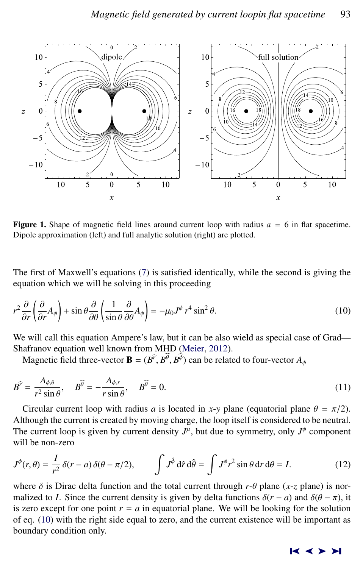<span id="page-2-0"></span>

**Figure 1.** Shape of magnetic field lines around current loop with radius  $a = 6$  in flat spacetime. Dipole approximation (left) and full analytic solution (right) are plotted.

The first of Maxwell's equations [\(7\)](#page-1-0) is satisfied identically, while the second is giving the equation which we will be solving in this proceeding

$$
r^2 \frac{\partial}{\partial r} \left( \frac{\partial}{\partial r} A_\phi \right) + \sin \theta \frac{\partial}{\partial \theta} \left( \frac{1}{\sin \theta} \frac{\partial}{\partial \theta} A_\phi \right) = -\mu_0 J^\phi r^4 \sin^2 \theta. \tag{10}
$$

We will call this equation Ampere's law, but it can be also wield as special case of Grad— Shafranov equation well known from MHD [\(Meier,](#page-7-0) [2012\)](#page-7-0).

Magnetic field three-vector **B** =  $(B^{\hat{r}}, B^{\theta}, B^{\phi})$  can be related to four-vector  $A_{\phi}$ 

$$
\overline{B}^{\widehat{r}} = \frac{A_{\phi,\theta}}{r^2 \sin \theta}, \quad \overline{B}^{\widehat{\theta}} = -\frac{A_{\phi,r}}{r \sin \theta}, \quad \overline{B}^{\widehat{\theta}} = 0.
$$
\n(11)

Circular current loop with radius *a* is located in *x*-*y* plane (equatorial plane  $\theta = \pi/2$ ).<br>though the current is created by moving charge, the loop itself is considered to be neutral. Although the current is created by moving charge, the loop itself is considered to be neutral. The current loop is given by current density  $J^{\mu}$ , but due to symmetry, only  $J^{\phi}$  component will be non-zero

$$
J^{\phi}(r,\theta) = \frac{I}{r^2} \delta(r-a) \delta(\theta - \pi/2), \qquad \int J^{\hat{\phi}} d\hat{r} d\hat{\theta} = \int J^{\phi} r^2 \sin \theta dr d\theta = I. \tag{12}
$$

where  $\delta$  is Dirac delta function and the total current through  $r$ - $\theta$  plane (*x*-*z* plane) is normalized to *I*. Since the current density is given by delta functions  $\delta(r - a)$  and  $\delta(\theta - \pi)$ , it is zero except for one point  $r = a$  in equatorial plane. We will be looking for the solution of eq. (10) with the right side equal to zero, and the current existence will be important as boundary condition only.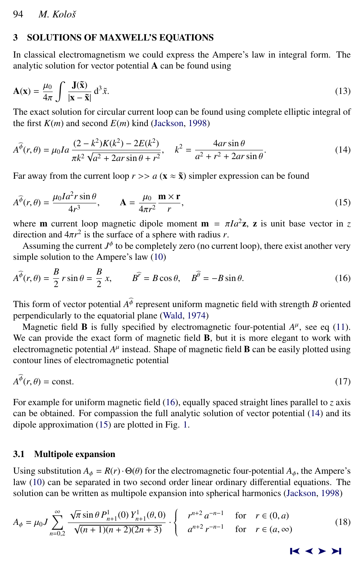# <span id="page-3-0"></span>3 SOLUTIONS OF MAXWELL'S EQUATIONS

In classical electromagnetism we could express the Ampere's law in integral form. The analytic solution for vector potential  $A$  can be found using

$$
\mathbf{A}(\mathbf{x}) = \frac{\mu_0}{4\pi} \int \frac{\mathbf{J}(\tilde{\mathbf{x}})}{|\mathbf{x} - \tilde{\mathbf{x}}|} d^3 \tilde{x}.
$$
 (13)  
The exact solution for circular current loop can be found using complete elliptic integral of

the first  $K(m)$  and second  $E(m)$  kind [\(Jackson,](#page-7-0) [1998\)](#page-7-0)

$$
A^{\widehat{\phi}}(r,\theta) = \mu_0 I a \frac{(2-k^2)K(k^2) - 2E(k^2)}{\pi k^2 \sqrt{a^2 + 2ar\sin\theta + r^2}}, \quad k^2 = \frac{4ar\sin\theta}{a^2 + r^2 + 2ar\sin\theta}.
$$
 (14)

Far away from the current loop  $r \gg a$  ( $\mathbf{x} \approx \mathbf{\tilde{x}}$ ) simpler expression can be found

$$
A^{\widehat{\phi}}(r,\theta) = \frac{\mu_0 I a^2 r \sin \theta}{4r^3}, \qquad A = \frac{\mu_0}{4\pi r^2} \frac{\mathbf{m} \times \mathbf{r}}{r},
$$
\n(15)

where **m** current loop magnetic dipole moment **m** =  $\pi I a^2 \mathbf{z}$ , **z** is unit base vector in *z* direction and  $4\pi r^2$  is the surface of a sphere with radius *r* direction and  $4\pi r^2$  is the surface of a sphere with radius *r*.<br>Assuming the current  $I^{\phi}$  to be completely zero (no current

Assuming the current  $J^{\phi}$  to be completely zero (no current loop), there exist another very simple solution to the Ampere's law [\(10\)](#page-2-0)

$$
A^{\widehat{\phi}}(r,\theta) = \frac{B}{2} r \sin \theta = \frac{B}{2} x, \qquad B^{\widehat{r}} = B \cos \theta, \quad B^{\widehat{\theta}} = -B \sin \theta.
$$
 (16)

This form of vector potential  $A^{\phi}$  represent uniform magnetic field with strength *B* oriented perpendicularly to the equatorial plane [\(Wald,](#page-7-0) [1974\)](#page-7-0)

Magnetic field **B** is fully specified by electromagnetic four-potential  $A^{\mu}$ , see eq [\(11\)](#page-2-0). We can provide the exact form of magnetic field **B**, but it is more elegant to work with electromagnetic potential  $A^\mu$  instead. Shape of magnetic field  ${\bf B}$  can be easily plotted using contour lines of electromagnetic potential

$$
A^{\widehat{\phi}}(r,\theta) = \text{const.}
$$
 (17)

For example for uniform magnetic field (16), equally spaced straight lines parallel to *z* axis can be obtained. For compassion the full analytic solution of vector potential (14) and its dipole approximation (15) are plotted in Fig. [1.](#page-2-0)

# 3.1 Multipole expansion

Using substitution  $A_{\phi} = R(r) \cdot \Theta(\theta)$  for the electromagnetic four-potential  $A_{\phi}$ , the Ampere's law [\(10\)](#page-2-0) can be separated in two second order linear ordinary differential equations. The solution can be written as multipole expansion into spherical harmonics [\(Jackson,](#page-7-0) [1998\)](#page-7-0)

$$
A_{\phi} = \mu_0 J \sum_{n=0,2}^{\infty} \frac{\sqrt{\pi} \sin \theta P_{n+1}^1(0) Y_{n+1}^1(\theta,0)}{\sqrt{(n+1)(n+2)(2n+3)}} \cdot \begin{cases} r^{n+2} a^{-n-1} & \text{for } r \in (0,a) \\ a^{n+2} r^{-n-1} & \text{for } r \in (a,\infty) \end{cases}
$$
(18)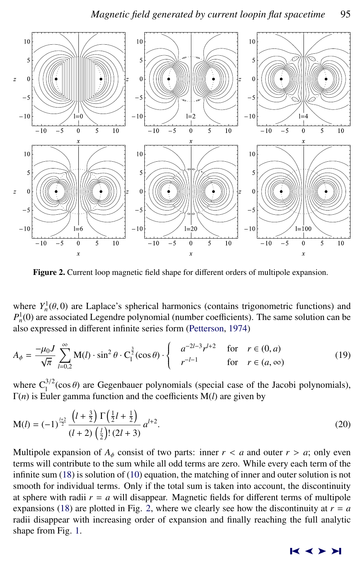<span id="page-4-0"></span>

Figure 2. Current loop magnetic field shape for different orders of multipole expansion.

where  $Y_n^1(\theta, 0)$  are Laplace's spherical harmonics (contains trigonometric functions) and  $P^1(0)$  are associated Legendre polynomial (pumber coefficients). The same solution can be  $P<sub>n</sub><sup>1</sup>(0)$  are associated Legendre polynomial (number coefficients). The same solution can be also expressed in different infinite series form [\(Petterson,](#page-7-0) [1974\)](#page-7-0)

$$
A_{\phi} = \frac{-\mu_0 J}{\sqrt{\pi}} \sum_{l=0,2}^{\infty} \mathbf{M}(l) \cdot \sin^2 \theta \cdot \mathbf{C}_1^{\frac{3}{2}}(\cos \theta) \cdot \begin{cases} a^{-2l-3} r^{l+2} & \text{for } r \in (0, a) \\ r^{-l-1} & \text{for } r \in (a, \infty) \end{cases}
$$
(19)

where  $C_1^{3/2}(\cos \theta)$  are Gegenbauer polynomials (special case of the Jacobi polynomials),<br> $\Gamma(n)$  is Fuler gamma function and the coefficients  $M(\lambda)$  are given by Γ(*n*) is Euler gamma function and the coefficients M(*l*) are given by

$$
M(l) = (-1)^{\frac{l+2}{2}} \frac{\left(l + \frac{3}{2}\right) \Gamma\left(\frac{1}{2}l + \frac{1}{2}\right)}{(l+2) \left(\frac{l}{2}\right)!(2l+3)} a^{l+2}.
$$
\n(20)

Multipole expansion of  $A_{\phi}$  consist of two parts: inner  $r < a$  and outer  $r > a$ ; only even terms will contribute to the sum while all odd terms are zero. While every each term of the infinite sum [\(18\)](#page-3-0) is solution of [\(10\)](#page-2-0) equation, the matching of inner and outer solution is not smooth for individual terms. Only if the total sum is taken into account, the discontinuity at sphere with radii  $r = a$  will disappear. Magnetic fields for different terms of multipole expansions [\(18\)](#page-3-0) are plotted in Fig. 2, where we clearly see how the discontinuity at  $r = a$ radii disappear with increasing order of expansion and finally reaching the full analytic shape from Fig. [1.](#page-2-0)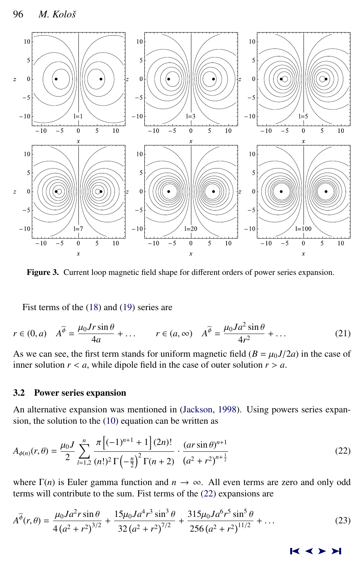<span id="page-5-0"></span>

Figure 3. Current loop magnetic field shape for different orders of power series expansion.

Fist terms of the [\(18\)](#page-3-0) and [\(19\)](#page-4-0) series are

$$
r \in (0, a) \quad A^{\widehat{\phi}} = \frac{\mu_0 J r \sin \theta}{4a} + \dots \qquad r \in (a, \infty) \quad A^{\widehat{\phi}} = \frac{\mu_0 J a^2 \sin \theta}{4r^2} + \dots \tag{21}
$$

As we can see, the first term stands for uniform magnetic field  $(B = \mu_0 J/2a)$  in the case of inner solution  $r < a$ , while dipole field in the case of outer solution  $r > a$ .

# 3.2 Power series expansion

An alternative expansion was mentioned in [\(Jackson,](#page-7-0) [1998\)](#page-7-0). Using powers series expansion, the solution to the [\(10\)](#page-2-0) equation can be written as

$$
A_{\phi(n)}(r,\theta) = \frac{\mu_0 I}{2} \sum_{l=1,2}^n \frac{\pi \left[ (-1)^{n+1} + 1 \right] (2n)!}{(n!)^2 \Gamma \left( -\frac{n}{2} \right)^2 \Gamma (n+2)} \cdot \frac{(ar \sin \theta)^{n+1}}{\left( a^2 + r^2 \right)^{n+\frac{1}{2}}} \tag{22}
$$

where  $\Gamma(n)$  is Euler gamma function and  $n \to \infty$ . All even terms are zero and only odd terms will contribute to the sum. Fist terms of the (22) expansions are

$$
A^{\widehat{\phi}}(r,\theta) = \frac{\mu_0 J a^2 r \sin \theta}{4 \left(a^2 + r^2\right)^{3/2}} + \frac{15 \mu_0 J a^4 r^3 \sin^3 \theta}{32 \left(a^2 + r^2\right)^{7/2}} + \frac{315 \mu_0 J a^6 r^5 \sin^5 \theta}{256 \left(a^2 + r^2\right)^{11/2}} + \dots
$$
 (23)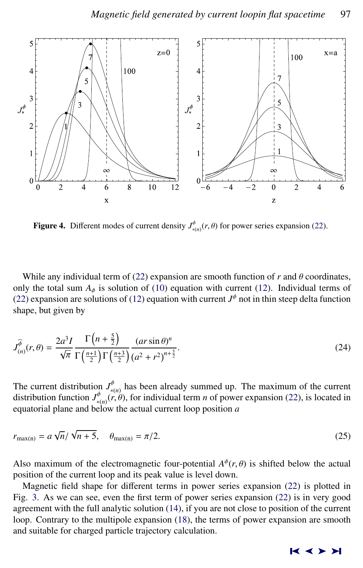

**Figure 4.** Different modes of current density  $J^{\phi}_{*(n)}(r, \theta)$  for power series expansion [\(22\)](#page-5-0).

While any individual term of [\(22\)](#page-5-0) expansion are smooth function of  $r$  and  $\theta$  coordinates, only the total sum  $A_{\phi}$  is solution of [\(10\)](#page-2-0) equation with current [\(12\)](#page-2-0). Individual terms of [\(22\)](#page-5-0) expansion are solutions of [\(12\)](#page-2-0) equation with current  $J^{\phi}$  not in thin steep delta function shape, but given by

$$
\widehat{J_{(n)}^{\theta}}(r,\theta) = \frac{2a^3 I}{\sqrt{\pi}} \frac{\Gamma\left(n + \frac{5}{2}\right)}{\Gamma\left(\frac{n+1}{2}\right) \Gamma\left(\frac{n+3}{2}\right)} \frac{(ar \sin \theta)^n}{\left(a^2 + r^2\right)^{n + \frac{5}{2}}}.
$$
\n(24)

The current distribution  $J_{*(n)}^{\varphi}$  has been already summed up. The maximum of the current distribution function  $J_{*(n)}^{\varphi}(r, \theta)$ , for individual term *n* of power expansion [\(22\)](#page-5-0), is located in equatorial plane and helow the actual current loop position *a* equatorial plane and below the actual current loop position *a*

$$
r_{\max(n)} = a\sqrt{n}/\sqrt{n+5}, \quad \theta_{\max(n)} = \pi/2.
$$
 (25)

Also maximum of the electromagnetic four-potential  $A^{\phi}(r, \theta)$  is shifted below the actual position of the current loop and its peak value is level down position of the current loop and its peak value is level down.

Magnetic field shape for different terms in power series expansion [\(22\)](#page-5-0) is plotted in Fig. [3.](#page-5-0) As we can see, even the first term of power series expansion [\(22\)](#page-5-0) is in very good agreement with the full analytic solution [\(14\)](#page-3-0), if you are not close to position of the current loop. Contrary to the multipole expansion [\(18\)](#page-3-0), the terms of power expansion are smooth and suitable for charged particle trajectory calculation.